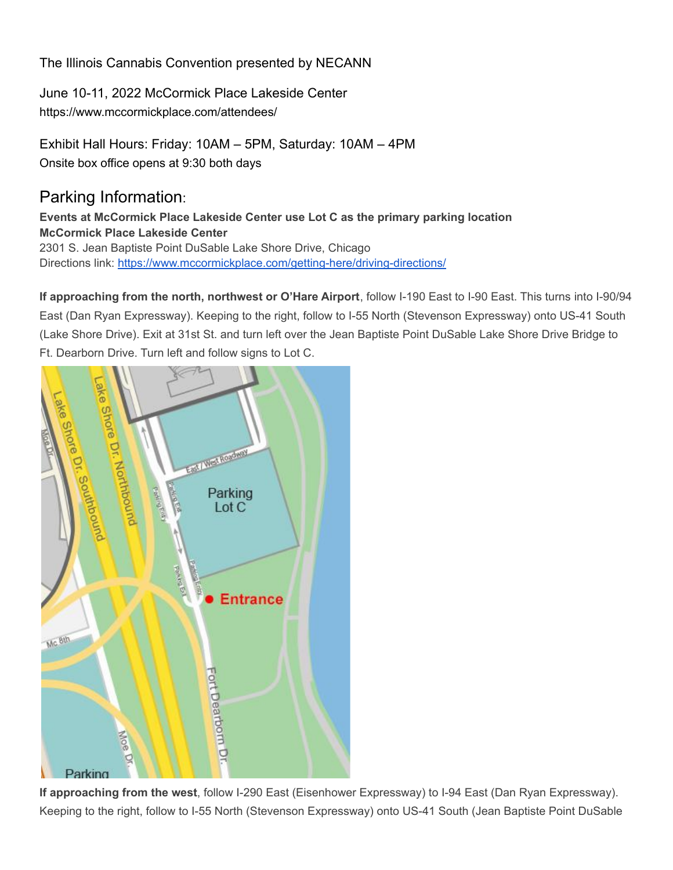# The Illinois Cannabis Convention presented by NECANN

June 10-11, 2022 McCormick Place Lakeside Center https://www.mccormickplace.com/attendees/

Exhibit Hall Hours: Friday: 10AM – 5PM, Saturday: 10AM – 4PM Onsite box office opens at 9:30 both days

# Parking Information:

**Events at McCormick Place Lakeside Center use Lot C as the primary parking location McCormick Place Lakeside Center** 2301 S. Jean Baptiste Point DuSable Lake Shore Drive, Chicago Directions link: <https://www.mccormickplace.com/getting-here/driving-directions/>

**If approaching from the north, northwest or O'Hare Airport**, follow I-190 East to I-90 East. This turns into I-90/94 East (Dan Ryan Expressway). Keeping to the right, follow to I-55 North (Stevenson Expressway) onto US-41 South (Lake Shore Drive). Exit at 31st St. and turn left over the Jean Baptiste Point DuSable Lake Shore Drive Bridge to Ft. Dearborn Drive. Turn left and follow signs to Lot C.



**If approaching from the west**, follow I-290 East (Eisenhower Expressway) to I-94 East (Dan Ryan Expressway). Keeping to the right, follow to I-55 North (Stevenson Expressway) onto US-41 South (Jean Baptiste Point DuSable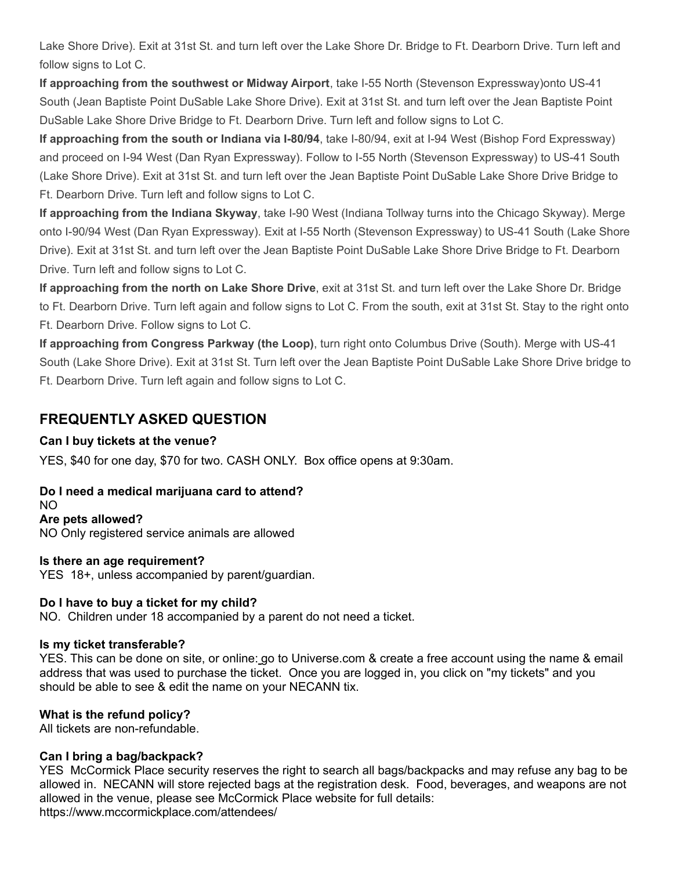Lake Shore Drive). Exit at 31st St. and turn left over the Lake Shore Dr. Bridge to Ft. Dearborn Drive. Turn left and follow signs to Lot C.

**If approaching from the southwest or Midway Airport**, take I-55 North (Stevenson Expressway)onto US-41 South (Jean Baptiste Point DuSable Lake Shore Drive). Exit at 31st St. and turn left over the Jean Baptiste Point DuSable Lake Shore Drive Bridge to Ft. Dearborn Drive. Turn left and follow signs to Lot C.

**If approaching from the south or Indiana via I-80/94**, take I-80/94, exit at I-94 West (Bishop Ford Expressway) and proceed on I-94 West (Dan Ryan Expressway). Follow to I-55 North (Stevenson Expressway) to US-41 South (Lake Shore Drive). Exit at 31st St. and turn left over the Jean Baptiste Point DuSable Lake Shore Drive Bridge to Ft. Dearborn Drive. Turn left and follow signs to Lot C.

**If approaching from the Indiana Skyway**, take I-90 West (Indiana Tollway turns into the Chicago Skyway). Merge onto I-90/94 West (Dan Ryan Expressway). Exit at I-55 North (Stevenson Expressway) to US-41 South (Lake Shore Drive). Exit at 31st St. and turn left over the Jean Baptiste Point DuSable Lake Shore Drive Bridge to Ft. Dearborn Drive. Turn left and follow signs to Lot C.

**If approaching from the north on Lake Shore Drive**, exit at 31st St. and turn left over the Lake Shore Dr. Bridge to Ft. Dearborn Drive. Turn left again and follow signs to Lot C. From the south, exit at 31st St. Stay to the right onto Ft. Dearborn Drive. Follow signs to Lot C.

**If approaching from Congress Parkway (the Loop)**, turn right onto Columbus Drive (South). Merge with US-41 South (Lake Shore Drive). Exit at 31st St. Turn left over the Jean Baptiste Point DuSable Lake Shore Drive bridge to Ft. Dearborn Drive. Turn left again and follow signs to Lot C.

# **FREQUENTLY ASKED QUESTION**

## **Can I buy tickets at the venue?**

YES, \$40 for one day, \$70 for two. CASH ONLY. Box office opens at 9:30am.

# **Do I need a medical marijuana card to attend?**

NO **Are pets allowed?**

NO Only registered service animals are allowed

### **Is there an age requirement?**

YES 18+, unless accompanied by parent/guardian.

### **Do I have to buy a ticket for my child?**

NO. Children under 18 accompanied by a parent do not need a ticket.

### **Is my ticket transferable?**

YES. This can be done on site, or online: go to Universe.com & create a free account using the name & email address that was used to purchase the ticket. Once you are logged in, you click on "my tickets" and you should be able to see & edit the name on your NECANN tix.

# **What is the refund policy?**

All tickets are non-refundable.

### **Can I bring a bag/backpack?**

YES McCormick Place security reserves the right to search all bags/backpacks and may refuse any bag to be allowed in. NECANN will store rejected bags at the registration desk. Food, beverages, and weapons are not allowed in the venue, please see McCormick Place website for full details: https://www.mccormickplace.com/attendees/